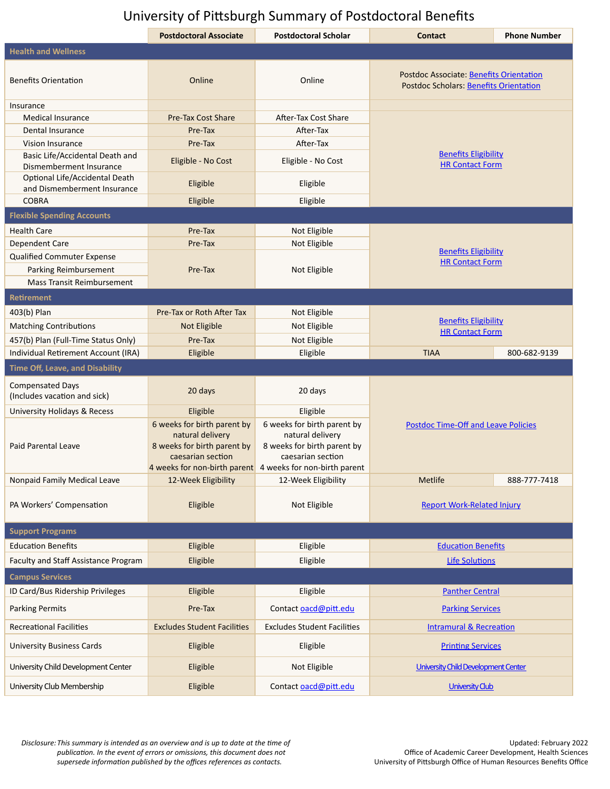## University of Pittsburgh Summary of Postdoctoral Benefits

|                                                               | <b>Postdoctoral Associate</b>                                                                       | <b>Postdoctoral Scholar</b>                                                                                                                                      | <b>Contact</b>                                                                           | <b>Phone Number</b> |
|---------------------------------------------------------------|-----------------------------------------------------------------------------------------------------|------------------------------------------------------------------------------------------------------------------------------------------------------------------|------------------------------------------------------------------------------------------|---------------------|
| <b>Health and Wellness</b>                                    |                                                                                                     |                                                                                                                                                                  |                                                                                          |                     |
| <b>Benefits Orientation</b>                                   | Online                                                                                              | Online                                                                                                                                                           | Postdoc Associate: Benefits Orientation<br><b>Postdoc Scholars: Benefits Orientation</b> |                     |
| Insurance                                                     |                                                                                                     |                                                                                                                                                                  |                                                                                          |                     |
| <b>Medical Insurance</b>                                      | Pre-Tax Cost Share                                                                                  | After-Tax Cost Share                                                                                                                                             | <b>Benefits Eligibility</b><br><b>HR Contact Form</b>                                    |                     |
| Dental Insurance                                              | Pre-Tax                                                                                             | After-Tax                                                                                                                                                        |                                                                                          |                     |
| Vision Insurance                                              | Pre-Tax                                                                                             | After-Tax                                                                                                                                                        |                                                                                          |                     |
| Basic Life/Accidental Death and<br>Dismemberment Insurance    | Eligible - No Cost                                                                                  | Eligible - No Cost                                                                                                                                               |                                                                                          |                     |
| Optional Life/Accidental Death<br>and Dismemberment Insurance | Eligible                                                                                            | Eligible                                                                                                                                                         |                                                                                          |                     |
| <b>COBRA</b>                                                  | Eligible                                                                                            | Eligible                                                                                                                                                         |                                                                                          |                     |
| <b>Flexible Spending Accounts</b>                             |                                                                                                     |                                                                                                                                                                  |                                                                                          |                     |
| <b>Health Care</b>                                            | Pre-Tax                                                                                             | Not Eligible                                                                                                                                                     | <b>Benefits Eligibility</b><br><b>HR Contact Form</b>                                    |                     |
| <b>Dependent Care</b>                                         | Pre-Tax                                                                                             | Not Eligible                                                                                                                                                     |                                                                                          |                     |
| Qualified Commuter Expense                                    |                                                                                                     |                                                                                                                                                                  |                                                                                          |                     |
| Parking Reimbursement                                         | Pre-Tax                                                                                             | Not Eligible                                                                                                                                                     |                                                                                          |                     |
| <b>Mass Transit Reimbursement</b>                             |                                                                                                     |                                                                                                                                                                  |                                                                                          |                     |
| <b>Retirement</b>                                             |                                                                                                     |                                                                                                                                                                  |                                                                                          |                     |
| 403(b) Plan                                                   | Pre-Tax or Roth After Tax                                                                           | Not Eligible                                                                                                                                                     | <b>Benefits Eligibility</b><br><b>HR Contact Form</b>                                    |                     |
| <b>Matching Contributions</b>                                 | <b>Not Eligible</b>                                                                                 | Not Eligible                                                                                                                                                     |                                                                                          |                     |
| 457(b) Plan (Full-Time Status Only)                           | Pre-Tax                                                                                             | Not Eligible                                                                                                                                                     |                                                                                          |                     |
| Individual Retirement Account (IRA)                           | Eligible                                                                                            | Eligible                                                                                                                                                         | <b>TIAA</b>                                                                              | 800-682-9139        |
| <b>Time Off, Leave, and Disability</b>                        |                                                                                                     |                                                                                                                                                                  |                                                                                          |                     |
| <b>Compensated Days</b><br>(Includes vacation and sick)       | 20 days                                                                                             | 20 days                                                                                                                                                          | <b>Postdoc Time-Off and Leave Policies</b>                                               |                     |
| University Holidays & Recess                                  | Eligible                                                                                            | Eligible                                                                                                                                                         |                                                                                          |                     |
| Paid Parental Leave                                           | 6 weeks for birth parent by<br>natural delivery<br>8 weeks for birth parent by<br>caesarian section | 6 weeks for birth parent by<br>natural delivery<br>8 weeks for birth parent by<br>caesarian section<br>4 weeks for non-birth parent 4 weeks for non-birth parent |                                                                                          |                     |
| Nonpaid Family Medical Leave                                  | 12-Week Eligibility                                                                                 | 12-Week Eligibility                                                                                                                                              | Metlife                                                                                  | 888-777-7418        |
| PA Workers' Compensation                                      | Eligible                                                                                            | Not Eligible                                                                                                                                                     | <b>Report Work-Related Injury</b>                                                        |                     |
| <b>Support Programs</b>                                       |                                                                                                     |                                                                                                                                                                  |                                                                                          |                     |
| <b>Education Benefits</b>                                     | Eligible                                                                                            | Eligible                                                                                                                                                         | <b>Education Benefits</b>                                                                |                     |
| Faculty and Staff Assistance Program                          | Eligible                                                                                            | Eligible                                                                                                                                                         | <b>Life Solutions</b>                                                                    |                     |
| <b>Campus Services</b>                                        |                                                                                                     |                                                                                                                                                                  |                                                                                          |                     |
| ID Card/Bus Ridership Privileges                              | Eligible                                                                                            | Eligible                                                                                                                                                         | <b>Panther Central</b>                                                                   |                     |
| <b>Parking Permits</b>                                        | Pre-Tax                                                                                             | Contact oacd@pitt.edu                                                                                                                                            | <b>Parking Services</b>                                                                  |                     |
| <b>Recreational Facilities</b>                                | <b>Excludes Student Facilities</b>                                                                  | <b>Excludes Student Facilities</b>                                                                                                                               | <b>Intramural &amp; Recreation</b>                                                       |                     |
| <b>University Business Cards</b>                              | Eligible                                                                                            | Eligible                                                                                                                                                         | <b>Printing Services</b>                                                                 |                     |
| University Child Development Center                           | Eligible                                                                                            | Not Eligible                                                                                                                                                     | University Child Development Center                                                      |                     |
| University Club Membership                                    | Eligible                                                                                            | Contact oacd@pitt.edu                                                                                                                                            | <b>University Club</b>                                                                   |                     |